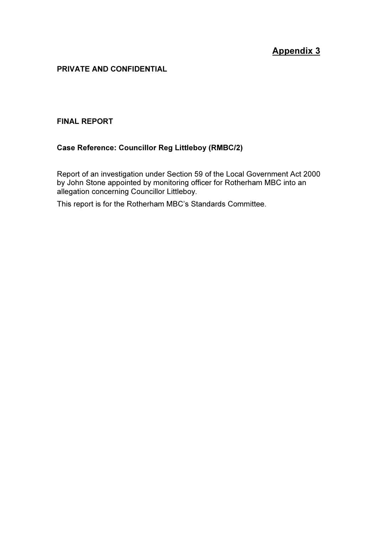## Appendix 3

#### PRIVATE AND CONFIDENTIAL

#### FINAL REPORT

#### Case Reference: Councillor Reg Littleboy (RMBC/2)

Report of an investigation under Section 59 of the Local Government Act 2000 by John Stone appointed by monitoring officer for Rotherham MBC into an allegation concerning Councillor Littleboy.

This report is for the Rotherham MBC's Standards Committee.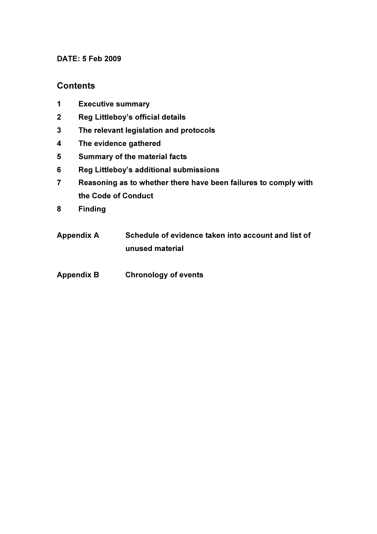#### DATE: 5 Feb 2009

### **Contents**

- 1 Executive summary
- 2 Reg Littleboy's official details
- 3 The relevant legislation and protocols
- 4 The evidence gathered
- 5 Summary of the material facts
- 6 Reg Littleboy's additional submissions
- 7 Reasoning as to whether there have been failures to comply with the Code of Conduct
- 8 Finding
- Appendix A Schedule of evidence taken into account and list of unused material
- Appendix B Chronology of events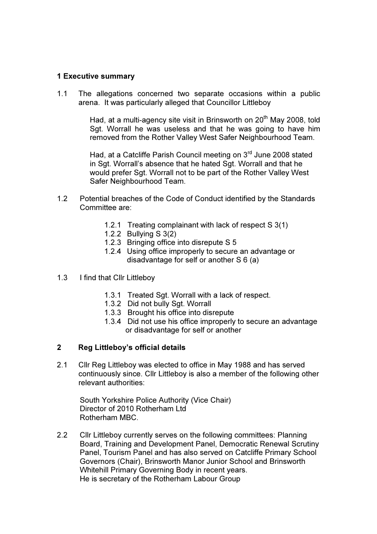#### 1 Executive summary

1.1 The allegations concerned two separate occasions within a public arena. It was particularly alleged that Councillor Littleboy

> Had, at a multi-agency site visit in Brinsworth on  $20<sup>th</sup>$  May 2008, told Sgt. Worrall he was useless and that he was going to have him removed from the Rother Valley West Safer Neighbourhood Team.

Had, at a Catcliffe Parish Council meeting on 3<sup>rd</sup> June 2008 stated in Sgt. Worrall's absence that he hated Sgt. Worrall and that he would prefer Sgt. Worrall not to be part of the Rother Valley West Safer Neighbourhood Team.

- 1.2 Potential breaches of the Code of Conduct identified by the Standards Committee are:
	- 1.2.1 Treating complainant with lack of respect S 3(1)
	- 1.2.2 Bullying S 3(2)
	- 1.2.3 Bringing office into disrepute S 5
	- 1.2.4 Using office improperly to secure an advantage or disadvantage for self or another S 6 (a)
- 1.3 I find that Cllr Littleboy
	- 1.3.1 Treated Sgt. Worrall with a lack of respect.
	- 1.3.2 Did not bully Sgt. Worrall
	- 1.3.3 Brought his office into disrepute
	- 1.3.4 Did not use his office improperly to secure an advantage or disadvantage for self or another

#### 2 Reg Littleboy's official details

2.1 Cllr Reg Littleboy was elected to office in May 1988 and has served continuously since. Cllr Littleboy is also a member of the following other relevant authorities:

South Yorkshire Police Authority (Vice Chair) Director of 2010 Rotherham Ltd Rotherham MBC.

2.2 Cllr Littleboy currently serves on the following committees: Planning Board, Training and Development Panel, Democratic Renewal Scrutiny Panel, Tourism Panel and has also served on Catcliffe Primary School Governors (Chair), Brinsworth Manor Junior School and Brinsworth Whitehill Primary Governing Body in recent years. He is secretary of the Rotherham Labour Group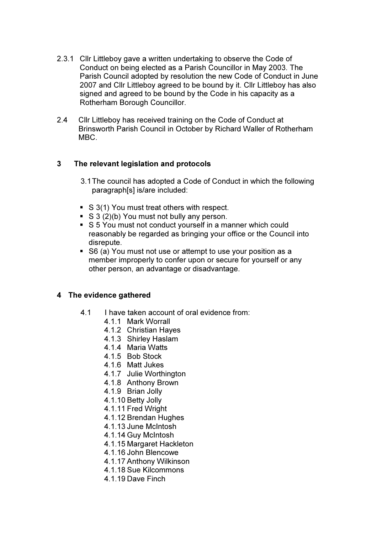- 2.3.1 Cllr Littleboy gave a written undertaking to observe the Code of Conduct on being elected as a Parish Councillor in May 2003. The Parish Council adopted by resolution the new Code of Conduct in June 2007 and Cllr Littleboy agreed to be bound by it. Cllr Littleboy has also signed and agreed to be bound by the Code in his capacity as a Rotherham Borough Councillor.
- 2.4 Cllr Littleboy has received training on the Code of Conduct at Brinsworth Parish Council in October by Richard Waller of Rotherham MBC.

#### 3 The relevant legislation and protocols

- 3.1 The council has adopted a Code of Conduct in which the following paragraph[s] is/are included:
- S 3(1) You must treat others with respect.
- $\bullet$  S 3 (2)(b) You must not bully any person.
- S 5 You must not conduct yourself in a manner which could reasonably be regarded as bringing your office or the Council into disrepute.
- S6 (a) You must not use or attempt to use your position as a member improperly to confer upon or secure for yourself or any other person, an advantage or disadvantage.

#### 4 The evidence gathered

- 4.1 I have taken account of oral evidence from:
	- 4.1.1 Mark Worrall
	- 4.1.2 Christian Hayes
	- 4.1.3 Shirley Haslam
	- 4.1.4 Maria Watts
	- 4.1.5 Bob Stock
	- 4.1.6 Matt Jukes
	- 4.1.7 Julie Worthington
	- 4.1.8 Anthony Brown
	- 4.1.9 Brian Jolly
	- 4.1.10 Betty Jolly
	- 4.1.11 Fred Wright
	- 4.1.12 Brendan Hughes
	- 4.1.13 June McIntosh
	- 4.1.14 Guy McIntosh
	- 4.1.15 Margaret Hackleton
	- 4.1.16 John Blencowe
	- 4.1.17 Anthony Wilkinson
	- 4.1.18 Sue Kilcommons
	- 4.1.19 Dave Finch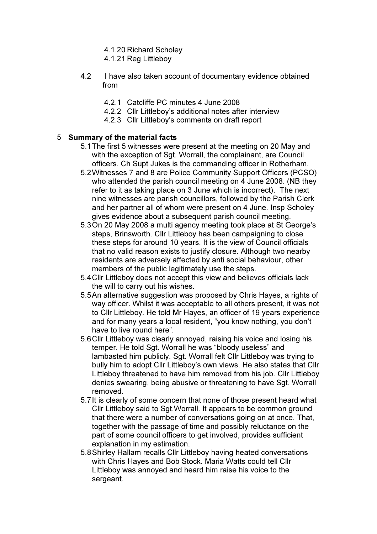- 4.1.20 Richard Scholey
- 4.1.21 Reg Littleboy
- 4.2 I have also taken account of documentary evidence obtained from
	- 4.2.1 Catcliffe PC minutes 4 June 2008
	- 4.2.2 Cllr Littleboy's additional notes after interview
	- 4.2.3 Cllr Littleboy's comments on draft report

#### 5 Summary of the material facts

- 5.1 The first 5 witnesses were present at the meeting on 20 May and with the exception of Sgt. Worrall, the complainant, are Council officers. Ch Supt Jukes is the commanding officer in Rotherham.
- 5.2 Witnesses 7 and 8 are Police Community Support Officers (PCSO) who attended the parish council meeting on 4 June 2008. (NB they refer to it as taking place on 3 June which is incorrect). The next nine witnesses are parish councillors, followed by the Parish Clerk and her partner all of whom were present on 4 June. Insp Scholey gives evidence about a subsequent parish council meeting.
- 5.3 On 20 May 2008 a multi agency meeting took place at St George's steps, Brinsworth. Cllr Littleboy has been campaigning to close these steps for around 10 years. It is the view of Council officials that no valid reason exists to justify closure. Although two nearby residents are adversely affected by anti social behaviour, other members of the public legitimately use the steps.
- 5.4 Cllr Littleboy does not accept this view and believes officials lack the will to carry out his wishes.
- 5.5 An alternative suggestion was proposed by Chris Hayes, a rights of way officer. Whilst it was acceptable to all others present, it was not to Cllr Littleboy. He told Mr Hayes, an officer of 19 years experience and for many years a local resident, "you know nothing, you don't have to live round here".
- 5.6 Cllr Littleboy was clearly annoyed, raising his voice and losing his temper. He told Sgt. Worrall he was "bloody useless" and lambasted him publicly. Sgt. Worrall felt Cllr Littleboy was trying to bully him to adopt Cllr Littleboy's own views. He also states that Cllr Littleboy threatened to have him removed from his job. Cllr Littleboy denies swearing, being abusive or threatening to have Sgt. Worrall removed.
- 5.7 It is clearly of some concern that none of those present heard what Cllr Littleboy said to Sqt. Worrall. It appears to be common ground that there were a number of conversations going on at once. That, together with the passage of time and possibly reluctance on the part of some council officers to get involved, provides sufficient explanation in my estimation.
- 5.8 Shirley Hallam recalls Cllr Littleboy having heated conversations with Chris Hayes and Bob Stock. Maria Watts could tell Cllr Littleboy was annoyed and heard him raise his voice to the sergeant.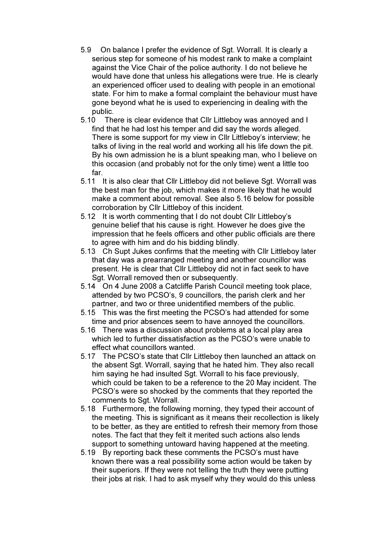- 5.9 On balance I prefer the evidence of Sgt. Worrall. It is clearly a serious step for someone of his modest rank to make a complaint against the Vice Chair of the police authority. I do not believe he would have done that unless his allegations were true. He is clearly an experienced officer used to dealing with people in an emotional state. For him to make a formal complaint the behaviour must have gone beyond what he is used to experiencing in dealing with the public.
- 5.10 There is clear evidence that Cllr Littleboy was annoyed and I find that he had lost his temper and did say the words alleged. There is some support for my view in Cllr Littleboy's interview; he talks of living in the real world and working all his life down the pit. By his own admission he is a blunt speaking man, who I believe on this occasion (and probably not for the only time) went a little too far.
- 5.11 It is also clear that Cllr Littleboy did not believe Sgt. Worrall was the best man for the job, which makes it more likely that he would make a comment about removal. See also 5.16 below for possible corroboration by Cllr Littleboy of this incident.
- 5.12 It is worth commenting that I do not doubt Cllr Littleboy's genuine belief that his cause is right. However he does give the impression that he feels officers and other public officials are there to agree with him and do his bidding blindly.
- 5.13 Ch Supt Jukes confirms that the meeting with Cllr Littleboy later that day was a prearranged meeting and another councillor was present. He is clear that Cllr Littleboy did not in fact seek to have Sat. Worrall removed then or subsequently.
- 5.14 On 4 June 2008 a Catcliffe Parish Council meeting took place, attended by two PCSO's, 9 councillors, the parish clerk and her partner, and two or three unidentified members of the public.
- 5.15 This was the first meeting the PCSO's had attended for some time and prior absences seem to have annoyed the councillors.
- 5.16 There was a discussion about problems at a local play area which led to further dissatisfaction as the PCSO's were unable to effect what councillors wanted.
- 5.17 The PCSO's state that Cllr Littleboy then launched an attack on the absent Sgt. Worrall, saying that he hated him. They also recall him saying he had insulted Sgt. Worrall to his face previously, which could be taken to be a reference to the 20 May incident. The PCSO's were so shocked by the comments that they reported the comments to Sqt. Worrall.
- 5.18 Furthermore, the following morning, they typed their account of the meeting. This is significant as it means their recollection is likely to be better, as they are entitled to refresh their memory from those notes. The fact that they felt it merited such actions also lends support to something untoward having happened at the meeting.
- 5.19 By reporting back these comments the PCSO's must have known there was a real possibility some action would be taken by their superiors. If they were not telling the truth they were putting their jobs at risk. I had to ask myself why they would do this unless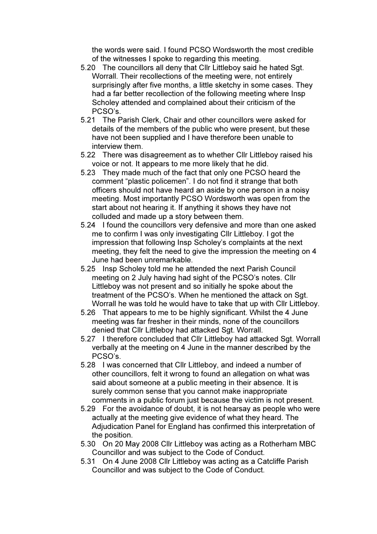the words were said. I found PCSO Wordsworth the most credible of the witnesses I spoke to regarding this meeting.

- 5.20 The councillors all deny that Cllr Littleboy said he hated Sgt. Worrall. Their recollections of the meeting were, not entirely surprisingly after five months, a little sketchy in some cases. They had a far better recollection of the following meeting where Insp Scholey attended and complained about their criticism of the PCSO's.
- 5.21 The Parish Clerk, Chair and other councillors were asked for details of the members of the public who were present, but these have not been supplied and I have therefore been unable to interview them.
- 5.22 There was disagreement as to whether Cllr Littleboy raised his voice or not. It appears to me more likely that he did.
- 5.23 They made much of the fact that only one PCSO heard the comment "plastic policemen". I do not find it strange that both officers should not have heard an aside by one person in a noisy meeting. Most importantly PCSO Wordsworth was open from the start about not hearing it. If anything it shows they have not colluded and made up a story between them.
- 5.24 I found the councillors very defensive and more than one asked me to confirm I was only investigating Cllr Littleboy. I got the impression that following Insp Scholey's complaints at the next meeting, they felt the need to give the impression the meeting on 4 June had been unremarkable.
- 5.25 Insp Scholey told me he attended the next Parish Council meeting on 2 July having had sight of the PCSO's notes. Cllr Littleboy was not present and so initially he spoke about the treatment of the PCSO's. When he mentioned the attack on Sgt. Worrall he was told he would have to take that up with Cllr Littleboy.
- 5.26 That appears to me to be highly significant. Whilst the 4 June meeting was far fresher in their minds, none of the councillors denied that Cllr Littleboy had attacked Sgt. Worrall.
- 5.27 I therefore concluded that Cllr Littleboy had attacked Sgt. Worrall verbally at the meeting on 4 June in the manner described by the PCSO's.
- 5.28 I was concerned that Cllr Littleboy, and indeed a number of other councillors, felt it wrong to found an allegation on what was said about someone at a public meeting in their absence. It is surely common sense that you cannot make inappropriate comments in a public forum just because the victim is not present.
- 5.29 For the avoidance of doubt, it is not hearsay as people who were actually at the meeting give evidence of what they heard. The Adjudication Panel for England has confirmed this interpretation of the position.
- 5.30 On 20 May 2008 Cllr Littleboy was acting as a Rotherham MBC Councillor and was subject to the Code of Conduct.
- 5.31 On 4 June 2008 Cllr Littleboy was acting as a Catcliffe Parish Councillor and was subject to the Code of Conduct.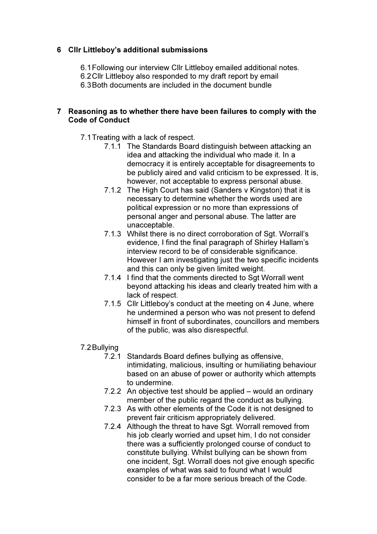#### 6 Cllr Littleboy's additional submissions

6.1 Following our interview Cllr Littleboy emailed additional notes.

6.2 Cllr Littleboy also responded to my draft report by email

6.3 Both documents are included in the document bundle

#### 7 Reasoning as to whether there have been failures to comply with the Code of Conduct

- 7.1 Treating with a lack of respect.
	- 7.1.1 The Standards Board distinguish between attacking an idea and attacking the individual who made it. In a democracy it is entirely acceptable for disagreements to be publicly aired and valid criticism to be expressed. It is, however, not acceptable to express personal abuse.
	- 7.1.2 The High Court has said (Sanders v Kingston) that it is necessary to determine whether the words used are political expression or no more than expressions of personal anger and personal abuse. The latter are unacceptable.
	- 7.1.3 Whilst there is no direct corroboration of Sqt. Worrall's evidence, I find the final paragraph of Shirley Hallam's interview record to be of considerable significance. However I am investigating just the two specific incidents and this can only be given limited weight.
	- 7.1.4 I find that the comments directed to Sgt Worrall went beyond attacking his ideas and clearly treated him with a lack of respect.
	- 7.1.5 Cllr Littleboy's conduct at the meeting on 4 June, where he undermined a person who was not present to defend himself in front of subordinates, councillors and members of the public, was also disrespectful.
- 7.2 Bullying
	- 7.2.1 Standards Board defines bullying as offensive, intimidating, malicious, insulting or humiliating behaviour based on an abuse of power or authority which attempts to undermine.
	- 7.2.2 An objective test should be applied would an ordinary member of the public regard the conduct as bullying.
	- 7.2.3 As with other elements of the Code it is not designed to prevent fair criticism appropriately delivered.
	- 7.2.4 Although the threat to have Sgt. Worrall removed from his job clearly worried and upset him, I do not consider there was a sufficiently prolonged course of conduct to constitute bullying. Whilst bullying can be shown from one incident, Sgt. Worrall does not give enough specific examples of what was said to found what I would consider to be a far more serious breach of the Code.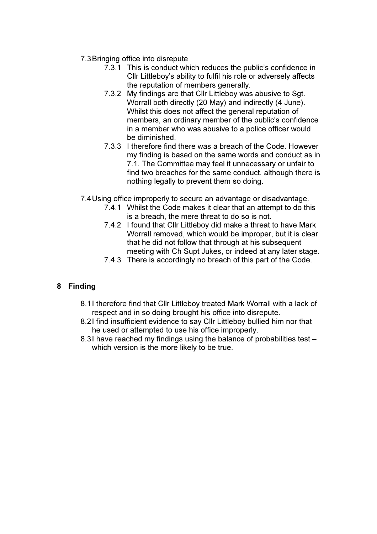- 7.3 Bringing office into disrepute
	- 7.3.1 This is conduct which reduces the public's confidence in Cllr Littleboy's ability to fulfil his role or adversely affects the reputation of members generally.
	- 7.3.2 My findings are that Cllr Littleboy was abusive to Sgt. Worrall both directly (20 May) and indirectly (4 June). Whilst this does not affect the general reputation of members, an ordinary member of the public's confidence in a member who was abusive to a police officer would be diminished.
	- 7.3.3 I therefore find there was a breach of the Code. However my finding is based on the same words and conduct as in 7.1. The Committee may feel it unnecessary or unfair to find two breaches for the same conduct, although there is nothing legally to prevent them so doing.
- 7.4 Using office improperly to secure an advantage or disadvantage.
	- 7.4.1 Whilst the Code makes it clear that an attempt to do this is a breach, the mere threat to do so is not.
	- 7.4.2 I found that Cllr Littleboy did make a threat to have Mark Worrall removed, which would be improper, but it is clear that he did not follow that through at his subsequent meeting with Ch Supt Jukes, or indeed at any later stage.
	- 7.4.3 There is accordingly no breach of this part of the Code.

### 8 Finding

- 8.1 I therefore find that Cllr Littleboy treated Mark Worrall with a lack of respect and in so doing brought his office into disrepute.
- 8.2 I find insufficient evidence to say Cllr Littleboy bullied him nor that he used or attempted to use his office improperly.
- 8.3I have reached my findings using the balance of probabilities test which version is the more likely to be true.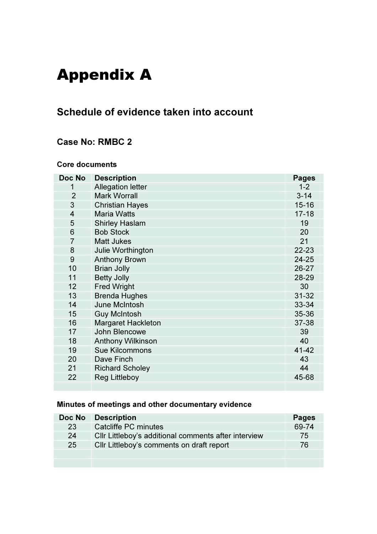# Appendix A

# Schedule of evidence taken into account

## Case No: RMBC 2

#### Core documents

| Doc No                  | <b>Description</b>        | <b>Pages</b> |
|-------------------------|---------------------------|--------------|
| 1                       | <b>Allegation letter</b>  | $1 - 2$      |
| $\overline{2}$          | <b>Mark Worrall</b>       | $3 - 14$     |
| 3                       | <b>Christian Hayes</b>    | $15 - 16$    |
| $\overline{\mathbf{4}}$ | <b>Maria Watts</b>        | $17 - 18$    |
| 5                       | <b>Shirley Haslam</b>     | 19           |
| 6                       | <b>Bob Stock</b>          | 20           |
| $\overline{7}$          | <b>Matt Jukes</b>         | 21           |
| 8                       | Julie Worthington         | 22-23        |
| 9                       | <b>Anthony Brown</b>      | $24 - 25$    |
| 10                      | <b>Brian Jolly</b>        | 26-27        |
| 11                      | <b>Betty Jolly</b>        | 28-29        |
| 12                      | <b>Fred Wright</b>        | 30           |
| 13                      | <b>Brenda Hughes</b>      | $31 - 32$    |
| 14                      | <b>June McIntosh</b>      | 33-34        |
| 15                      | <b>Guy McIntosh</b>       | 35-36        |
| 16                      | <b>Margaret Hackleton</b> | 37-38        |
| 17                      | John Blencowe             | 39           |
| 18                      | <b>Anthony Wilkinson</b>  | 40           |
| 19                      | <b>Sue Kilcommons</b>     | 41-42        |
| 20                      | Dave Finch                | 43           |
| 21                      | <b>Richard Scholey</b>    | 44           |
| 22                      | <b>Reg Littleboy</b>      | 45-68        |
|                         |                           |              |

## Minutes of meetings and other documentary evidence

| Doc No | <b>Description</b>                                   | <b>Pages</b> |
|--------|------------------------------------------------------|--------------|
| 23     | Catcliffe PC minutes                                 | 69-74        |
| 24     | Cllr Littleboy's additional comments after interview | 75           |
| 25     | Cllr Littleboy's comments on draft report            | 76           |
|        |                                                      |              |
|        |                                                      |              |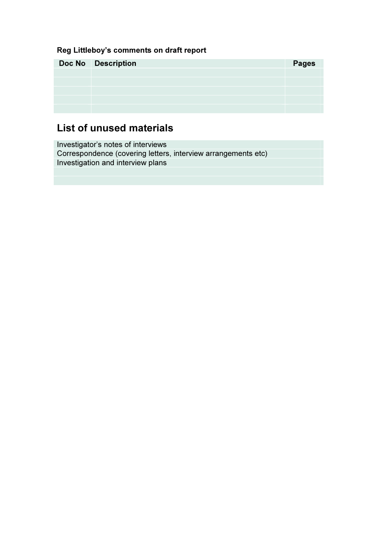## Reg Littleboy's comments on draft report

| <b>Doc No Description</b> | <b>Pages</b> |
|---------------------------|--------------|
|                           |              |
|                           |              |
|                           |              |
|                           |              |
|                           |              |

# List of unused materials

Investigator's notes of interviews Correspondence (covering letters, interview arrangements etc) Investigation and interview plans